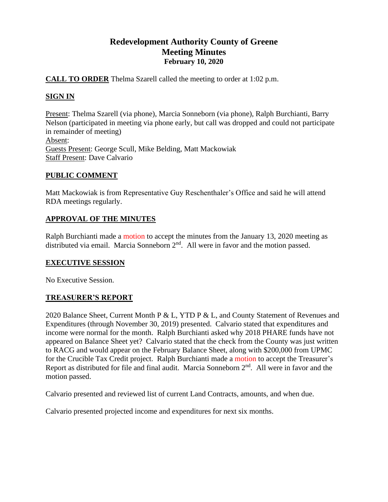# **Redevelopment Authority County of Greene Meeting Minutes February 10, 2020**

**CALL TO ORDER** Thelma Szarell called the meeting to order at 1:02 p.m.

# **SIGN IN**

Present: Thelma Szarell (via phone), Marcia Sonneborn (via phone), Ralph Burchianti, Barry Nelson (participated in meeting via phone early, but call was dropped and could not participate in remainder of meeting) Absent: Guests Present: George Scull, Mike Belding, Matt Mackowiak Staff Present: Dave Calvario

## **PUBLIC COMMENT**

Matt Mackowiak is from Representative Guy Reschenthaler's Office and said he will attend RDA meetings regularly.

## **APPROVAL OF THE MINUTES**

Ralph Burchianti made a motion to accept the minutes from the January 13, 2020 meeting as distributed via email. Marcia Sonneborn  $2<sup>nd</sup>$ . All were in favor and the motion passed.

### **EXECUTIVE SESSION**

No Executive Session.

# **TREASURER'S REPORT**

2020 Balance Sheet, Current Month P & L, YTD P & L, and County Statement of Revenues and Expenditures (through November 30, 2019) presented. Calvario stated that expenditures and income were normal for the month. Ralph Burchianti asked why 2018 PHARE funds have not appeared on Balance Sheet yet? Calvario stated that the check from the County was just written to RACG and would appear on the February Balance Sheet, along with \$200,000 from UPMC for the Crucible Tax Credit project. Ralph Burchianti made a motion to accept the Treasurer's Report as distributed for file and final audit. Marcia Sonneborn  $2<sup>nd</sup>$ . All were in favor and the motion passed.

Calvario presented and reviewed list of current Land Contracts, amounts, and when due.

Calvario presented projected income and expenditures for next six months.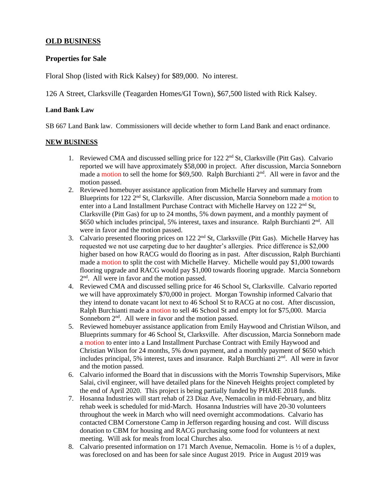### **OLD BUSINESS**

#### **Properties for Sale**

Floral Shop (listed with Rick Kalsey) for \$89,000. No interest.

126 A Street, Clarksville (Teagarden Homes/GI Town), \$67,500 listed with Rick Kalsey.

#### **Land Bank Law**

SB 667 Land Bank law. Commissioners will decide whether to form Land Bank and enact ordinance.

#### **NEW BUSINESS**

- 1. Reviewed CMA and discussed selling price for 122  $2<sup>nd</sup>$  St, Clarksville (Pitt Gas). Calvario reported we will have approximately \$58,000 in project. After discussion, Marcia Sonneborn made a motion to sell the home for \$69,500. Ralph Burchianti 2<sup>nd</sup>. All were in favor and the motion passed.
- 2. Reviewed homebuyer assistance application from Michelle Harvey and summary from Blueprints for 122  $2<sup>nd</sup>$  St, Clarksville. After discussion, Marcia Sonneborn made a motion to enter into a Land Installment Purchase Contract with Michelle Harvey on 122 2<sup>nd</sup> St, Clarksville (Pitt Gas) for up to 24 months, 5% down payment, and a monthly payment of \$650 which includes principal, 5% interest, taxes and insurance. Ralph Burchianti 2<sup>nd</sup>. All were in favor and the motion passed.
- 3. Calvario presented flooring prices on 122 2nd St, Clarksville (Pitt Gas). Michelle Harvey has requested we not use carpeting due to her daughter's allergies. Price difference is \$2,000 higher based on how RACG would do flooring as in past. After discussion, Ralph Burchianti made a motion to split the cost with Michelle Harvey. Michelle would pay \$1,000 towards flooring upgrade and RACG would pay \$1,000 towards flooring upgrade. Marcia Sonneborn 2<sup>nd</sup>. All were in favor and the motion passed.
- 4. Reviewed CMA and discussed selling price for 46 School St, Clarksville. Calvario reported we will have approximately \$70,000 in project. Morgan Township informed Calvario that they intend to donate vacant lot next to 46 School St to RACG at no cost. After discussion, Ralph Burchianti made a motion to sell 46 School St and empty lot for \$75,000. Marcia Sonneborn  $2<sup>nd</sup>$ . All were in favor and the motion passed.
- 5. Reviewed homebuyer assistance application from Emily Haywood and Christian Wilson, and Blueprints summary for 46 School St, Clarksville. After discussion, Marcia Sonneborn made a motion to enter into a Land Installment Purchase Contract with Emily Haywood and Christian Wilson for 24 months, 5% down payment, and a monthly payment of \$650 which includes principal, 5% interest, taxes and insurance. Ralph Burchianti  $2<sup>nd</sup>$ . All were in favor and the motion passed.
- 6. Calvario informed the Board that in discussions with the Morris Township Supervisors, Mike Salai, civil engineer, will have detailed plans for the Nineveh Heights project completed by the end of April 2020. This project is being partially funded by PHARE 2018 funds.
- 7. Hosanna Industries will start rehab of 23 Diaz Ave, Nemacolin in mid-February, and blitz rehab week is scheduled for mid-March. Hosanna Industries will have 20-30 volunteers throughout the week in March who will need overnight accommodations. Calvario has contacted CBM Cornerstone Camp in Jefferson regarding housing and cost. Will discuss donation to CBM for housing and RACG purchasing some food for volunteers at next meeting. Will ask for meals from local Churches also.
- 8. Calvario presented information on 171 March Avenue, Nemacolin. Home is ½ of a duplex, was foreclosed on and has been for sale since August 2019. Price in August 2019 was